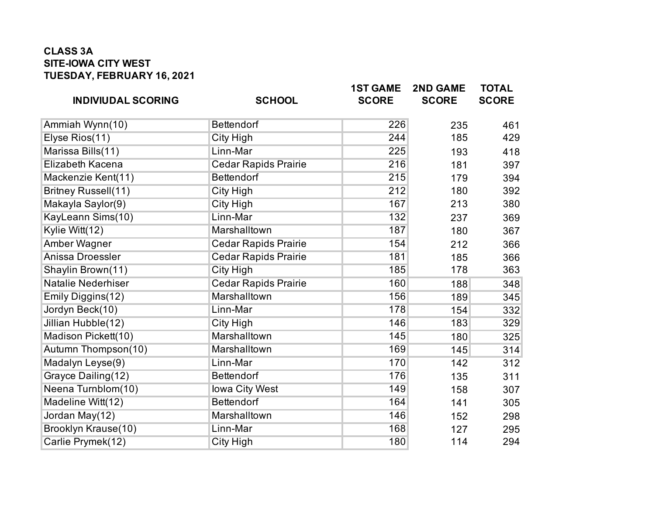## **CLASS 3A SITE-IOWA CITY WEST TUESDAY, FEBRUARY 16, 2021**

| <b>INDIVIUDAL SCORING</b>  | <b>SCHOOL</b>               | <b>1ST GAME</b><br><b>SCORE</b> | <b>2ND GAME</b><br><b>SCORE</b> | <b>TOTAL</b><br><b>SCORE</b> |
|----------------------------|-----------------------------|---------------------------------|---------------------------------|------------------------------|
| Ammiah Wynn(10)            | Bettendorf                  | 226                             | 235                             | 461                          |
| Elyse Rios(11)             | <b>City High</b>            | 244                             | 185                             | 429                          |
| Marissa Bills(11)          | Linn-Mar                    | 225                             | 193                             | 418                          |
| Elizabeth Kacena           | <b>Cedar Rapids Prairie</b> | 216                             | 181                             | 397                          |
| Mackenzie Kent(11)         | Bettendorf                  | 215                             | 179                             | 394                          |
| <b>Britney Russell(11)</b> | <b>City High</b>            | 212                             | 180                             | 392                          |
| Makayla Saylor(9)          | <b>City High</b>            | 167                             | 213                             | 380                          |
| KayLeann Sims(10)          | Linn-Mar                    | 132                             | 237                             | 369                          |
| Kylie Witt(12)             | Marshalltown                | 187                             | 180                             | 367                          |
| <b>Amber Wagner</b>        | <b>Cedar Rapids Prairie</b> | 154                             | 212                             | 366                          |
| Anissa Droessler           | <b>Cedar Rapids Prairie</b> | 181                             | 185                             | 366                          |
| Shaylin Brown(11)          | <b>City High</b>            | 185                             | 178                             | 363                          |
| <b>Natalie Nederhiser</b>  | <b>Cedar Rapids Prairie</b> | 160                             | 188                             | 348                          |
| Emily Diggins(12)          | Marshalltown                | 156                             | 189                             | 345                          |
| Jordyn Beck(10)            | Linn-Mar                    | 178                             | 154                             | 332                          |
| Jillian Hubble(12)         | <b>City High</b>            | 146                             | 183                             | 329                          |
| Madison Pickett(10)        | Marshalltown                | 145                             | 180                             | 325                          |
| Autumn Thompson(10)        | Marshalltown                | 169                             | 145                             | 314                          |
| Madalyn Leyse(9)           | Linn-Mar                    | 170                             | 142                             | 312                          |
| Grayce Dailing(12)         | Bettendorf                  | 176                             | 135                             | 311                          |
| Neena Turnblom(10)         | <b>lowa City West</b>       | 149                             | 158                             | 307                          |
| Madeline Witt(12)          | Bettendorf                  | 164                             | 141                             | 305                          |
| Jordan May(12)             | Marshalltown                | 146                             | 152                             | 298                          |
| Brooklyn Krause(10)        | Linn-Mar                    | 168                             | 127                             | 295                          |
| Carlie Prymek(12)          | <b>City High</b>            | 180                             | 114                             | 294                          |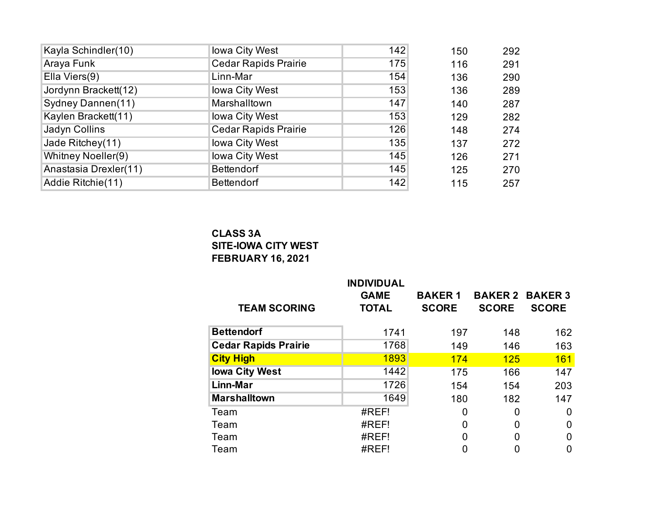| Kayla Schindler(10)   | <b>Iowa City West</b>       | 142 | 150 | 292 |
|-----------------------|-----------------------------|-----|-----|-----|
| Araya Funk            | <b>Cedar Rapids Prairie</b> | 175 | 116 | 291 |
| Ella Viers(9)         | Linn-Mar                    | 154 | 136 | 290 |
| Jordynn Brackett(12)  | lowa City West              | 153 | 136 | 289 |
| Sydney Dannen(11)     | Marshalltown                | 147 | 140 | 287 |
| Kaylen Brackett(11)   | lowa City West              | 153 | 129 | 282 |
| Jadyn Collins         | <b>Cedar Rapids Prairie</b> | 126 | 148 | 274 |
| Jade Ritchey(11)      | lowa City West              | 135 | 137 | 272 |
| Whitney Noeller(9)    | lowa City West              | 145 | 126 | 271 |
| Anastasia Drexler(11) | <b>Bettendorf</b>           | 145 | 125 | 270 |
| Addie Ritchie(11)     | <b>Bettendorf</b>           | 142 | 115 | 257 |

## **CLASS 3A SITE-IOWA CITY WEST FEBRUARY 16, 2021**

| <b>TEAM SCORING</b>         | <b>INDIVIDUAL</b><br><b>GAME</b><br><b>TOTAL</b> | <b>BAKER1</b><br><b>SCORE</b> | <b>BAKER 2 BAKER 3</b><br><b>SCORE</b> | <b>SCORE</b> |
|-----------------------------|--------------------------------------------------|-------------------------------|----------------------------------------|--------------|
| <b>Bettendorf</b>           | 1741                                             | 197                           | 148                                    | 162          |
| <b>Cedar Rapids Prairie</b> | 1768                                             | 149                           | 146                                    | 163          |
| <b>City High</b>            | 1893                                             | 174                           | 125                                    | 161          |
| <b>lowa City West</b>       | 1442                                             | 175                           | 166                                    | 147          |
| Linn-Mar                    | 1726                                             | 154                           | 154                                    | 203          |
| <b>Marshalltown</b>         | 1649                                             | 180                           | 182                                    | 147          |
| Team                        | #REF!                                            | 0                             | 0                                      | 0            |
| Team                        | #REF!                                            | 0                             | 0                                      | 0            |
| Team                        | #REF!                                            | 0                             |                                        | 0            |
| Team                        | #REF!                                            |                               |                                        | 0            |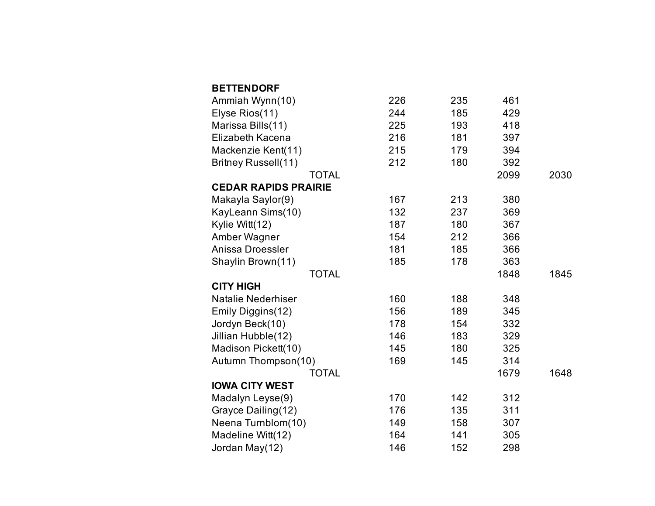| <b>BETTENDORF</b>           |     |     |      |      |
|-----------------------------|-----|-----|------|------|
| Ammiah Wynn(10)             | 226 | 235 | 461  |      |
| Elyse Rios(11)              | 244 | 185 | 429  |      |
| Marissa Bills(11)           | 225 | 193 | 418  |      |
| Elizabeth Kacena            | 216 | 181 | 397  |      |
| Mackenzie Kent(11)          | 215 | 179 | 394  |      |
| Britney Russell(11)         | 212 | 180 | 392  |      |
| <b>TOTAL</b>                |     |     | 2099 | 2030 |
| <b>CEDAR RAPIDS PRAIRIE</b> |     |     |      |      |
| Makayla Saylor(9)           | 167 | 213 | 380  |      |
| KayLeann Sims(10)           | 132 | 237 | 369  |      |
| Kylie Witt(12)              | 187 | 180 | 367  |      |
| Amber Wagner                | 154 | 212 | 366  |      |
| Anissa Droessler            | 181 | 185 | 366  |      |
| Shaylin Brown(11)           | 185 | 178 | 363  |      |
| <b>TOTAL</b>                |     |     | 1848 | 1845 |
| <b>CITY HIGH</b>            |     |     |      |      |
| <b>Natalie Nederhiser</b>   | 160 | 188 | 348  |      |
| Emily Diggins(12)           | 156 | 189 | 345  |      |
| Jordyn Beck(10)             | 178 | 154 | 332  |      |
| Jillian Hubble(12)          | 146 | 183 | 329  |      |
| Madison Pickett(10)         | 145 | 180 | 325  |      |
| Autumn Thompson(10)         | 169 | 145 | 314  |      |
| <b>TOTAL</b>                |     |     | 1679 | 1648 |
| <b>IOWA CITY WEST</b>       |     |     |      |      |
| Madalyn Leyse(9)            | 170 | 142 | 312  |      |
| Grayce Dailing(12)          | 176 | 135 | 311  |      |
| Neena Turnblom(10)          | 149 | 158 | 307  |      |
| Madeline Witt(12)           | 164 | 141 | 305  |      |
| Jordan May(12)              | 146 | 152 | 298  |      |
|                             |     |     |      |      |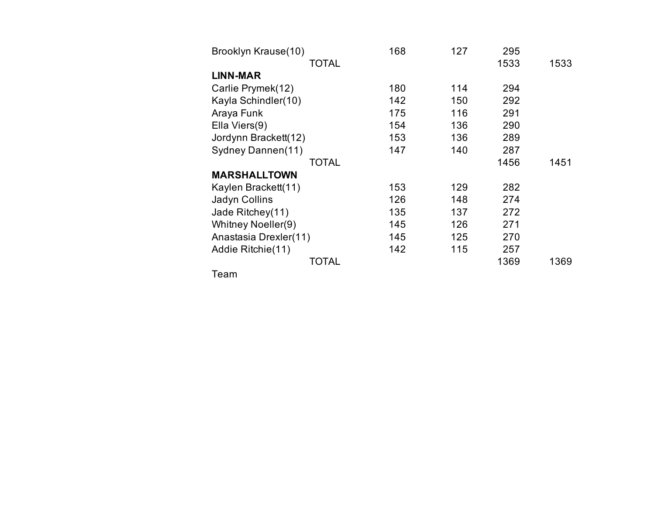| Brooklyn Krause(10)   | 168 | 127 | 295  |      |
|-----------------------|-----|-----|------|------|
| <b>TOTAL</b>          |     |     | 1533 | 1533 |
| <b>LINN-MAR</b>       |     |     |      |      |
| Carlie Prymek(12)     | 180 | 114 | 294  |      |
| Kayla Schindler(10)   | 142 | 150 | 292  |      |
| Araya Funk            | 175 | 116 | 291  |      |
| Ella Viers(9)         | 154 | 136 | 290  |      |
| Jordynn Brackett(12)  | 153 | 136 | 289  |      |
| Sydney Dannen(11)     | 147 | 140 | 287  |      |
| <b>TOTAL</b>          |     |     | 1456 | 1451 |
| <b>MARSHALLTOWN</b>   |     |     |      |      |
| Kaylen Brackett(11)   | 153 | 129 | 282  |      |
| Jadyn Collins         | 126 | 148 | 274  |      |
| Jade Ritchey(11)      | 135 | 137 | 272  |      |
| Whitney Noeller(9)    | 145 | 126 | 271  |      |
| Anastasia Drexler(11) | 145 | 125 | 270  |      |
| Addie Ritchie(11)     | 142 | 115 | 257  |      |
| TOTAL                 |     |     | 1369 | 1369 |
| $T - - - -$           |     |     |      |      |

Team